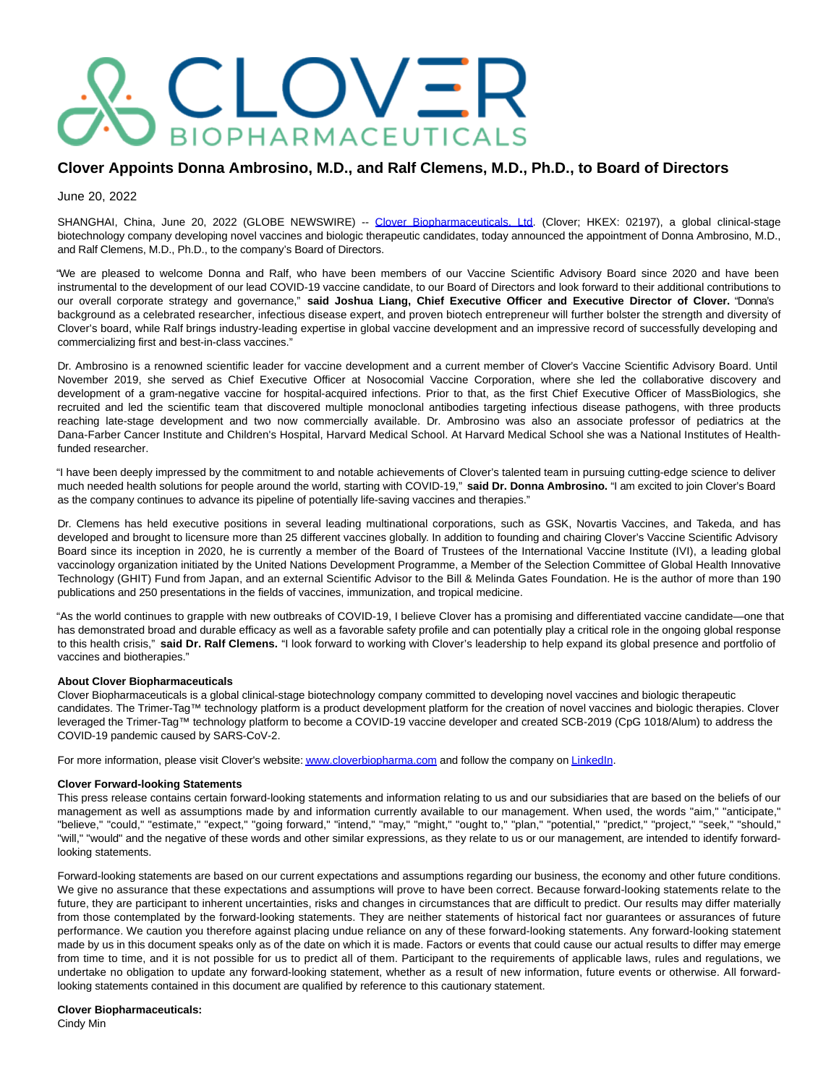# CLOVER **BIOPHARMACEUTICALS**

## **Clover Appoints Donna Ambrosino, M.D., and Ralf Clemens, M.D., Ph.D., to Board of Directors**

June 20, 2022

SHANGHAI, China, June 20, 2022 (GLOBE NEWSWIRE) -- [Clover Biopharmaceuticals, Ltd.](https://www.globenewswire.com/Tracker?data=ynhyki1by9hmoLGFSy7JE4k1C-m4U9G_0QyF38CO2NYfSO2xq9_p8wIKYanizlrziE2MPBKNihFwjs4OKdxODEEf7Xhm8qaSAtyDChI_QdFp5pSBTsyUO4OxWOiRM6dy) (Clover; HKEX: 02197), a global clinical-stage biotechnology company developing novel vaccines and biologic therapeutic candidates, today announced the appointment of Donna Ambrosino, M.D., and Ralf Clemens, M.D., Ph.D., to the company's Board of Directors.

"We are pleased to welcome Donna and Ralf, who have been members of our Vaccine Scientific Advisory Board since 2020 and have been instrumental to the development of our lead COVID-19 vaccine candidate, to our Board of Directors and look forward to their additional contributions to our overall corporate strategy and governance," **said Joshua Liang, Chief Executive Officer and Executive Director of Clover.** "Donna's background as a celebrated researcher, infectious disease expert, and proven biotech entrepreneur will further bolster the strength and diversity of Clover's board, while Ralf brings industry-leading expertise in global vaccine development and an impressive record of successfully developing and commercializing first and best-in-class vaccines."

Dr. Ambrosino is a renowned scientific leader for vaccine development and a current member of Clover's Vaccine Scientific Advisory Board. Until November 2019, she served as Chief Executive Officer at Nosocomial Vaccine Corporation, where she led the collaborative discovery and development of a gram-negative vaccine for hospital-acquired infections. Prior to that, as the first Chief Executive Officer of MassBiologics, she recruited and led the scientific team that discovered multiple monoclonal antibodies targeting infectious disease pathogens, with three products reaching late-stage development and two now commercially available. Dr. Ambrosino was also an associate professor of pediatrics at the Dana-Farber Cancer Institute and Children's Hospital, Harvard Medical School. At Harvard Medical School she was a National Institutes of Healthfunded researcher.

"I have been deeply impressed by the commitment to and notable achievements of Clover's talented team in pursuing cutting-edge science to deliver much needed health solutions for people around the world, starting with COVID-19," **said Dr. Donna Ambrosino.** "I am excited to join Clover's Board as the company continues to advance its pipeline of potentially life-saving vaccines and therapies."

Dr. Clemens has held executive positions in several leading multinational corporations, such as GSK, Novartis Vaccines, and Takeda, and has developed and brought to licensure more than 25 different vaccines globally. In addition to founding and chairing Clover's Vaccine Scientific Advisory Board since its inception in 2020, he is currently a member of the Board of Trustees of the International Vaccine Institute (IVI), a leading global vaccinology organization initiated by the United Nations Development Programme, a Member of the Selection Committee of Global Health Innovative Technology (GHIT) Fund from Japan, and an external Scientific Advisor to the Bill & Melinda Gates Foundation. He is the author of more than 190 publications and 250 presentations in the fields of vaccines, immunization, and tropical medicine.

"As the world continues to grapple with new outbreaks of COVID-19, I believe Clover has a promising and differentiated vaccine candidate—one that has demonstrated broad and durable efficacy as well as a favorable safety profile and can potentially play a critical role in the ongoing global response to this health crisis," **said Dr. Ralf Clemens.** "I look forward to working with Clover's leadership to help expand its global presence and portfolio of vaccines and biotherapies."

### **About Clover Biopharmaceuticals**

Clover Biopharmaceuticals is a global clinical-stage biotechnology company committed to developing novel vaccines and biologic therapeutic candidates. The Trimer-Tag™ technology platform is a product development platform for the creation of novel vaccines and biologic therapies. Clover leveraged the Trimer-Tag™ technology platform to become a COVID-19 vaccine developer and created SCB-2019 (CpG 1018/Alum) to address the COVID-19 pandemic caused by SARS-CoV-2.

For more information, please visit Clover's website[: www.cloverbiopharma.com a](https://www.globenewswire.com/Tracker?data=UUV2LwwT5-A7xtJvWrd7x9jIO5F8yc56txGUWjbowjqtjXaaDMcu3IWu-C6GUKH-KNS3-pvwqwuWT4P0ODTJyt59_lWnP-81kzwqf7mJ768=)nd follow the company o[n LinkedIn.](https://www.globenewswire.com/Tracker?data=MeS8xT6oKBQMsi6ilnqReIwDJfP7lpXlUQQboi5cZekM1LJnSwwN24AbrYO_HwHumwGZ_xQU-j67PkrcG4fVj9D1I1r_ISfTDTWI7uZg65J7YkXMdhU419YG3ZBzDuniZjgbxKCgrm8YJwNtyALmNQ==)

#### **Clover Forward-looking Statements**

This press release contains certain forward-looking statements and information relating to us and our subsidiaries that are based on the beliefs of our management as well as assumptions made by and information currently available to our management. When used, the words "aim," "anticipate," "believe," "could," "estimate," "expect," "going forward," "intend," "may," "might," "ought to," "plan," "potential," "predict," "project," "seek," "should," "will," "would" and the negative of these words and other similar expressions, as they relate to us or our management, are intended to identify forwardlooking statements.

Forward-looking statements are based on our current expectations and assumptions regarding our business, the economy and other future conditions. We give no assurance that these expectations and assumptions will prove to have been correct. Because forward-looking statements relate to the future, they are participant to inherent uncertainties, risks and changes in circumstances that are difficult to predict. Our results may differ materially from those contemplated by the forward-looking statements. They are neither statements of historical fact nor guarantees or assurances of future performance. We caution you therefore against placing undue reliance on any of these forward-looking statements. Any forward-looking statement made by us in this document speaks only as of the date on which it is made. Factors or events that could cause our actual results to differ may emerge from time to time, and it is not possible for us to predict all of them. Participant to the requirements of applicable laws, rules and regulations, we undertake no obligation to update any forward-looking statement, whether as a result of new information, future events or otherwise. All forwardlooking statements contained in this document are qualified by reference to this cautionary statement.

#### **Clover Biopharmaceuticals:**

Cindy Min